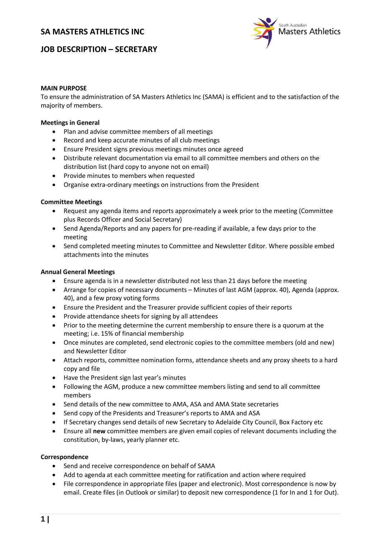# **SA MASTERS ATHLETICS INC**



# **JOB DESCRIPTION – SECRETARY**

### **MAIN PURPOSE**

To ensure the administration of SA Masters Athletics Inc (SAMA) is efficient and to the satisfaction of the majority of members.

### **Meetings in General**

- Plan and advise committee members of all meetings
- Record and keep accurate minutes of all club meetings
- Ensure President signs previous meetings minutes once agreed
- Distribute relevant documentation via email to all committee members and others on the distribution list (hard copy to anyone not on email)
- Provide minutes to members when requested
- Organise extra-ordinary meetings on instructions from the President

## **Committee Meetings**

- Request any agenda items and reports approximately a week prior to the meeting (Committee plus Records Officer and Social Secretary)
- Send Agenda/Reports and any papers for pre-reading if available, a few days prior to the meeting
- Send completed meeting minutes to Committee and Newsletter Editor. Where possible embed attachments into the minutes

### **Annual General Meetings**

- Ensure agenda is in a newsletter distributed not less than 21 days before the meeting
- Arrange for copies of necessary documents Minutes of last AGM (approx. 40), Agenda (approx. 40), and a few proxy voting forms
- Ensure the President and the Treasurer provide sufficient copies of their reports
- Provide attendance sheets for signing by all attendees
- Prior to the meeting determine the current membership to ensure there is a quorum at the meeting; i.e. 15% of financial membership
- Once minutes are completed, send electronic copies to the committee members (old and new) and Newsletter Editor
- Attach reports, committee nomination forms, attendance sheets and any proxy sheets to a hard copy and file
- Have the President sign last year's minutes
- Following the AGM, produce a new committee members listing and send to all committee members
- Send details of the new committee to AMA, ASA and AMA State secretaries
- Send copy of the Presidents and Treasurer's reports to AMA and ASA
- If Secretary changes send details of new Secretary to Adelaide City Council, Box Factory etc
- Ensure all **new** committee members are given email copies of relevant documents including the constitution, by-laws, yearly planner etc.

### **Correspondence**

- Send and receive correspondence on behalf of SAMA
- Add to agenda at each committee meeting for ratification and action where required
- File correspondence in appropriate files (paper and electronic). Most correspondence is now by email. Create files (in Outlook or similar) to deposit new correspondence (1 for In and 1 for Out).